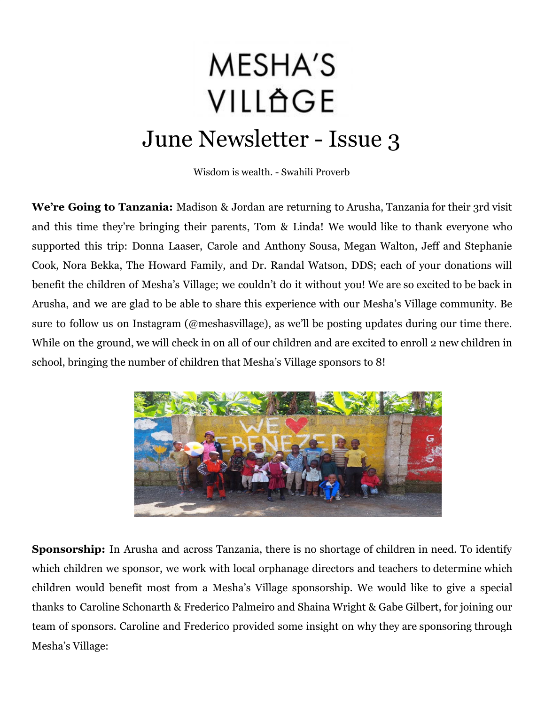## **MESHA'S** VILLÄGE June Newsletter - Issue 3

Wisdom is wealth. - Swahili Proverb

**We're Going to Tanzania:** Madison & Jordan are returning to Arusha, Tanzania for their 3rd visit and this time they're bringing their parents, Tom & Linda! We would like to thank everyone who supported this trip: Donna Laaser, Carole and Anthony Sousa, Megan Walton, Jeff and Stephanie Cook, Nora Bekka, The Howard Family, and Dr. Randal Watson, DDS; each of your donations will benefit the children of Mesha's Village; we couldn't do it without you! We are so excited to be back in Arusha, and we are glad to be able to share this experience with our Mesha's Village community. Be sure to follow us on Instagram (@meshasvillage), as we'll be posting updates during our time there. While on the ground, we will check in on all of our children and are excited to enroll 2 new children in school, bringing the number of children that Mesha's Village sponsors to 8!



**Sponsorship:** In Arusha and across Tanzania, there is no shortage of children in need. To identify which children we sponsor, we work with local orphanage directors and teachers to determine which children would benefit most from a Mesha's Village sponsorship. We would like to give a special thanks to Caroline Schonarth & Frederico Palmeiro and Shaina Wright & Gabe Gilbert, for joining our team of sponsors. Caroline and Frederico provided some insight on why they are sponsoring through Mesha's Village: